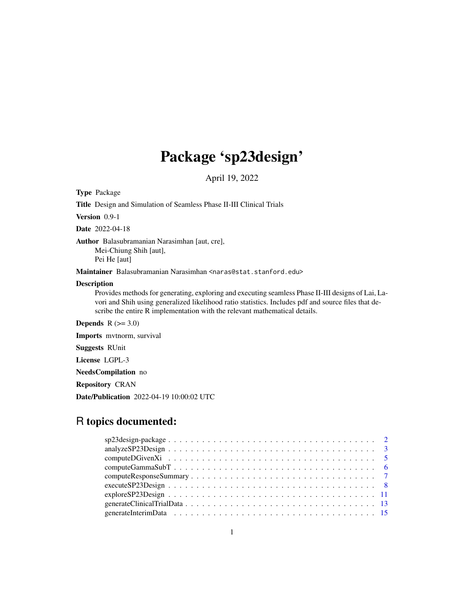## Package 'sp23design'

April 19, 2022

Type Package

Title Design and Simulation of Seamless Phase II-III Clinical Trials

Version 0.9-1

Date 2022-04-18

Author Balasubramanian Narasimhan [aut, cre],

Mei-Chiung Shih [aut], Pei He [aut]

Maintainer Balasubramanian Narasimhan <naras@stat.stanford.edu>

## **Description**

Provides methods for generating, exploring and executing seamless Phase II-III designs of Lai, Lavori and Shih using generalized likelihood ratio statistics. Includes pdf and source files that describe the entire R implementation with the relevant mathematical details.

**Depends**  $R$  ( $>= 3.0$ )

Imports mvtnorm, survival

Suggests RUnit

License LGPL-3

NeedsCompilation no

Repository CRAN

Date/Publication 2022-04-19 10:00:02 UTC

## R topics documented: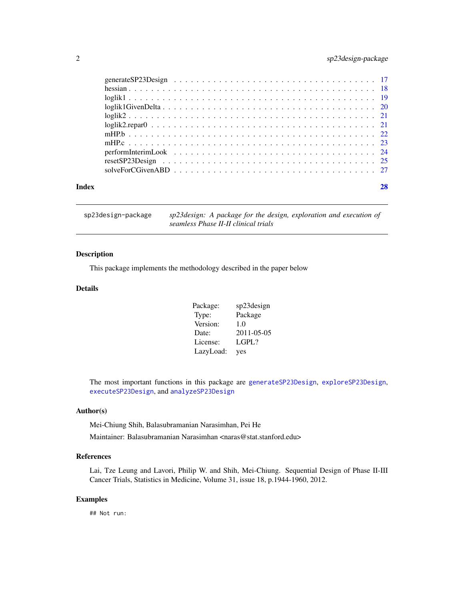## <span id="page-1-0"></span>2 sp23design-package

| Index |  |
|-------|--|
|       |  |

sp23design-package *sp23design: A package for the design, exploration and execution of seamless Phase II-II clinical trials*

## Description

This package implements the methodology described in the paper below

## Details

| Package:  | sp23design  |
|-----------|-------------|
| Type:     | Package     |
| Version:  | 1.0         |
| Date:     | 2011-05-05  |
| License:  | $L$ GPL $?$ |
| LazyLoad: | yes         |

The most important functions in this package are [generateSP23Design](#page-16-1), [exploreSP23Design](#page-10-1), [executeSP23Design](#page-7-1), and [analyzeSP23Design](#page-2-1)

## Author(s)

Mei-Chiung Shih, Balasubramanian Narasimhan, Pei He

Maintainer: Balasubramanian Narasimhan <naras@stat.stanford.edu>

## References

Lai, Tze Leung and Lavori, Philip W. and Shih, Mei-Chiung. Sequential Design of Phase II-III Cancer Trials, Statistics in Medicine, Volume 31, issue 18, p.1944-1960, 2012.

## Examples

## Not run: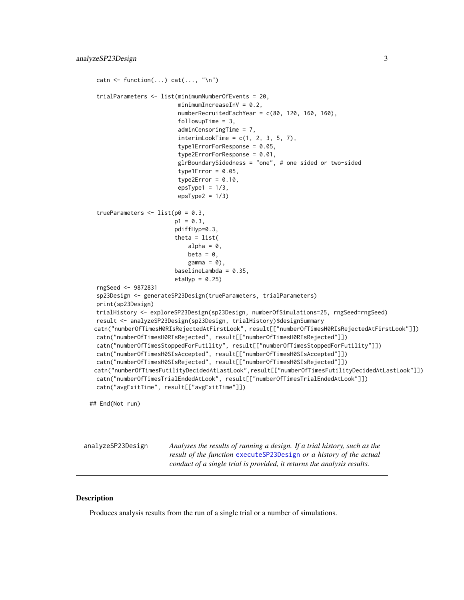```
catn \leq function(...) cat(..., "\n")
trialParameters <- list(minimumNumberOfEvents = 20,
                        minimumIncreasingInV = 0.2,numberRecruitedEachYear = c(80, 120, 160, 160),
                         followupTime = 3,
                         adminCensoringTime = 7,
                         interimLookTime = c(1, 2, 3, 5, 7),type1ErrorForResponse = 0.05,
                         type2ErrorForResponse = 0.01,
                         glrBoundarySidedness = "one", # one sided or two-sided
                         type1Error = 0.05,
                         type2Error = 0.10,
                         epsType1 = 1/3,
                        epsType2 = 1/3)trueParameters \leq list(p0 = 0.3,
                       p1 = 0.3,
                       pdiffHyp=0.3,
                        theta = list(alpha = 0,
                           beta = \theta.
                            gamma = 0,
                        baselineLambda = 0.35,
                        etaHyp = 0.25)
rngSeed <- 9872831
sp23Design <- generateSP23Design(trueParameters, trialParameters)
print(sp23Design)
trialHistory <- exploreSP23Design(sp23Design, numberOfSimulations=25, rngSeed=rngSeed)
result <- analyzeSP23Design(sp23Design, trialHistory)$designSummary
catn("numberOfTimesH0RIsRejectedAtFirstLook", result[["numberOfTimesH0RIsRejectedAtFirstLook"]])
catn("numberOfTimesH0RIsRejected", result[["numberOfTimesH0RIsRejected"]])
catn("numberOfTimesStoppedForFutility", result[["numberOfTimesStoppedForFutility"]])
catn("numberOfTimesH0SIsAccepted", result[["numberOfTimesH0SIsAccepted"]])
catn("numberOfTimesH0SIsRejected", result[["numberOfTimesH0SIsRejected"]])
catn("numberOfTimesFutilityDecidedAtLastLook",result[["numberOfTimesFutilityDecidedAtLastLook"]])
catn("numberOfTimesTrialEndedAtLook", result[["numberOfTimesTrialEndedAtLook"]])
catn("avgExitTime", result[["avgExitTime"]])
```
## End(Not run)

<span id="page-2-1"></span>analyzeSP23Design *Analyses the results of running a design. If a trial history, such as the result of the function* [executeSP23Design](#page-7-1) *or a history of the actual conduct of a single trial is provided, it returns the analysis results.*

#### **Description**

Produces analysis results from the run of a single trial or a number of simulations.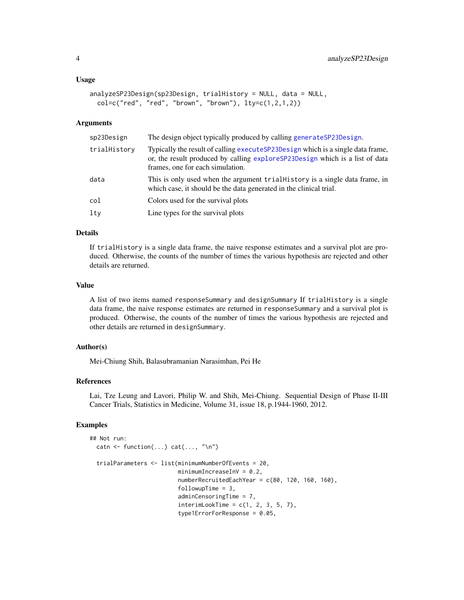#### <span id="page-3-0"></span>Usage

```
analyzeSP23Design(sp23Design, trialHistory = NULL, data = NULL,
  col = c("red", "red", "brown", "brown"), lty = c(1, 2, 1, 2))
```
#### Arguments

| sp23Design   | The design object typically produced by calling generateSP23Design.                                                                                                                                 |
|--------------|-----------------------------------------------------------------------------------------------------------------------------------------------------------------------------------------------------|
| trialHistory | Typically the result of calling executeSP23Design which is a single data frame,<br>or, the result produced by calling exploreSP23Design which is a list of data<br>frames, one for each simulation. |
| data         | This is only used when the argument trial History is a single data frame, in<br>which case, it should be the data generated in the clinical trial.                                                  |
| col          | Colors used for the survival plots                                                                                                                                                                  |
| lty          | Line types for the survival plots                                                                                                                                                                   |

## Details

If trialHistory is a single data frame, the naive response estimates and a survival plot are produced. Otherwise, the counts of the number of times the various hypothesis are rejected and other details are returned.

#### Value

A list of two items named responseSummary and designSummary If trialHistory is a single data frame, the naive response estimates are returned in responseSummary and a survival plot is produced. Otherwise, the counts of the number of times the various hypothesis are rejected and other details are returned in designSummary.

## Author(s)

Mei-Chiung Shih, Balasubramanian Narasimhan, Pei He

#### References

Lai, Tze Leung and Lavori, Philip W. and Shih, Mei-Chiung. Sequential Design of Phase II-III Cancer Trials, Statistics in Medicine, Volume 31, issue 18, p.1944-1960, 2012.

## Examples

```
## Not run:
 catn \leq function(...) cat(..., "\n")
 trialParameters <- list(minimumNumberOfEvents = 20,
                          minimumIncreasingInV = 0.2,numberRecruitedEachYear = c(80, 120, 160, 160),
                          followupTime = 3,
                          adminCensoringTime = 7,
                          interimLookTime = c(1, 2, 3, 5, 7),type1ErrorForResponse = 0.05,
```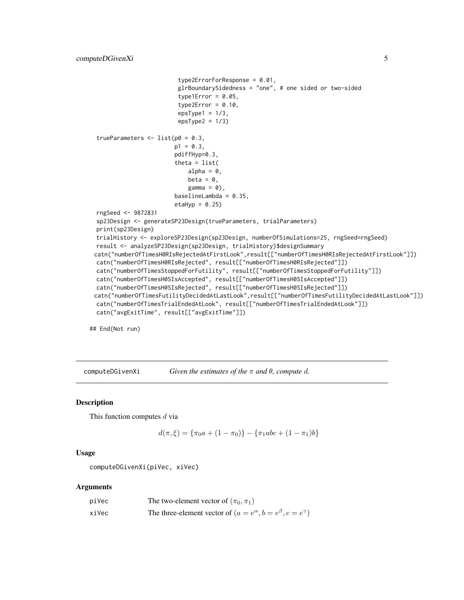```
type2ErrorForResponse = 0.01,
                         glrBoundarySidedness = "one", # one sided or two-sided
                        type1Error = 0.05,
                        type2Error = 0.10,
                        epsType1 = 1/3,
                        epsType2 = 1/3)trueParameters \leq list(p0 = 0.3,
                       p1 = 0.3,
                       pdiffHyp=0.3,
                        theta = list(
                           alpha = 0,
                           beta = 0,
                           gamma = 0,
                        baselineLambda = 0.35,
                        etaltyp = 0.25rngSeed <- 9872831
sp23Design <- generateSP23Design(trueParameters, trialParameters)
print(sp23Design)
trialHistory <- exploreSP23Design(sp23Design, numberOfSimulations=25, rngSeed=rngSeed)
result <- analyzeSP23Design(sp23Design, trialHistory)$designSummary
catn("numberOfTimesH0RIsRejectedAtFirstLook",result[["numberOfTimesH0RIsRejectedAtFirstLook"]])
catn("numberOfTimesH0RIsRejected", result[["numberOfTimesH0RIsRejected"]])
catn("numberOfTimesStoppedForFutility", result[["numberOfTimesStoppedForFutility"]])
catn("numberOfTimesH0SIsAccepted", result[["numberOfTimesH0SIsAccepted"]])
catn("numberOfTimesH0SIsRejected", result[["numberOfTimesH0SIsRejected"]])
catn("numberOfTimesFutilityDecidedAtLastLook",result[["numberOfTimesFutilityDecidedAtLastLook"]])
catn("numberOfTimesTrialEndedAtLook", result[["numberOfTimesTrialEndedAtLook"]])
catn("avgExitTime", result[["avgExitTime"]])
```
## End(Not run)

computeDGivenXi *Given the estimates of the* π *and* θ*, compute* d*.*

#### Description

This function computes  $d$  via

$$
d(\pi,\xi) = \{\pi_0 a + (1-\pi_0)\} - \{\pi_1 abc + (1-\pi_1)b\}
$$

## Usage

computeDGivenXi(piVec, xiVec)

## Arguments

| piVec | The two-element vector of $(\pi_0, \pi_1)$                                    |
|-------|-------------------------------------------------------------------------------|
| xiVec | The three-element vector of $(a = e^{\alpha}, b = e^{\beta}, c = e^{\gamma})$ |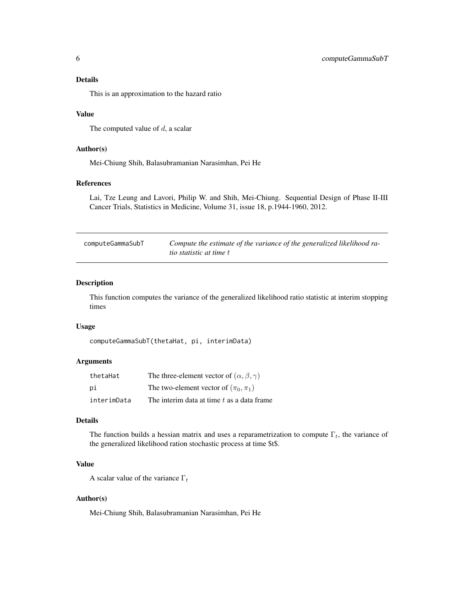<span id="page-5-0"></span>This is an approximation to the hazard ratio

#### Value

The computed value of  $d$ , a scalar

### Author(s)

Mei-Chiung Shih, Balasubramanian Narasimhan, Pei He

## References

Lai, Tze Leung and Lavori, Philip W. and Shih, Mei-Chiung. Sequential Design of Phase II-III Cancer Trials, Statistics in Medicine, Volume 31, issue 18, p.1944-1960, 2012.

| computeGammaSubT | Compute the estimate of the variance of the generalized likelihood ra- |
|------------------|------------------------------------------------------------------------|
|                  | <i>tio statistic at time t</i>                                         |

## **Description**

This function computes the variance of the generalized likelihood ratio statistic at interim stopping times

## Usage

```
computeGammaSubT(thetaHat, pi, interimData)
```
## Arguments

| thetaHat    | The three-element vector of $(\alpha, \beta, \gamma)$ |
|-------------|-------------------------------------------------------|
| рi          | The two-element vector of $(\pi_0, \pi_1)$            |
| interimData | The interim data at time t as a data frame            |

## Details

The function builds a hessian matrix and uses a reparametrization to compute  $\Gamma_t$ , the variance of the generalized likelihood ration stochastic process at time \$t\$.

#### Value

A scalar value of the variance  $\Gamma_t$ 

## Author(s)

Mei-Chiung Shih, Balasubramanian Narasimhan, Pei He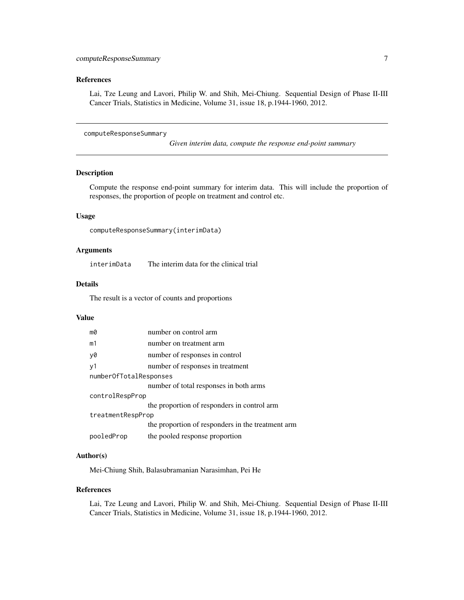## <span id="page-6-0"></span>References

Lai, Tze Leung and Lavori, Philip W. and Shih, Mei-Chiung. Sequential Design of Phase II-III Cancer Trials, Statistics in Medicine, Volume 31, issue 18, p.1944-1960, 2012.

<span id="page-6-1"></span>computeResponseSummary

*Given interim data, compute the response end-point summary*

## Description

Compute the response end-point summary for interim data. This will include the proportion of responses, the proportion of people on treatment and control etc.

## Usage

```
computeResponseSummary(interimData)
```
## Arguments

interimData The interim data for the clinical trial

#### Details

The result is a vector of counts and proportions

#### Value

| mØ                     | number on control arm                             |  |
|------------------------|---------------------------------------------------|--|
| m1                     | number on treatment arm                           |  |
| y0                     | number of responses in control                    |  |
| y1                     | number of responses in treatment                  |  |
| numberOfTotalResponses |                                                   |  |
|                        | number of total responses in both arms            |  |
| controlRespProp        |                                                   |  |
|                        | the proportion of responders in control arm       |  |
| treatmentRespProp      |                                                   |  |
|                        | the proportion of responders in the treatment arm |  |
| pooledProp             | the pooled response proportion                    |  |

#### Author(s)

Mei-Chiung Shih, Balasubramanian Narasimhan, Pei He

#### References

Lai, Tze Leung and Lavori, Philip W. and Shih, Mei-Chiung. Sequential Design of Phase II-III Cancer Trials, Statistics in Medicine, Volume 31, issue 18, p.1944-1960, 2012.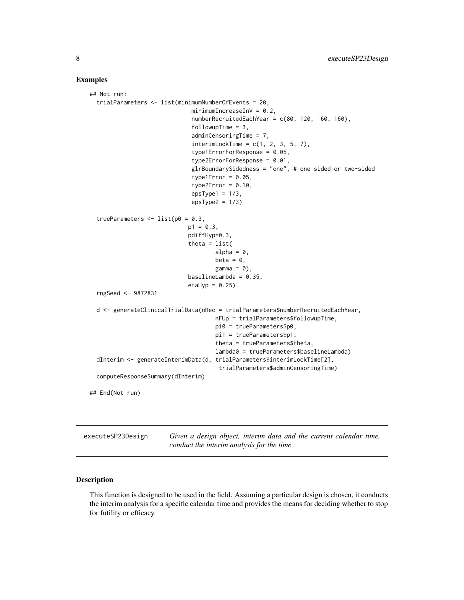#### Examples

```
## Not run:
 trialParameters <- list(minimumNumberOfEvents = 20,
                              minimumIncreaseInV = 0.2,
                              numberRecruitedEachYear = c(80, 120, 160, 160),
                              followupTime = 3,
                              adminCensoringTime = 7,
                              interimLookTime = c(1, 2, 3, 5, 7),type1ErrorForResponse = 0.05,
                              type2ErrorForResponse = 0.01,
                              glrBoundarySidedness = "one", # one sided or two-sided
                              type1Error = 0.05,
                              type2Error = 0.10,
                              epsType1 = 1/3,
                              epsType2 = 1/3trueParameters \leq list(p0 = 0.3,
                             p1 = 0.3,
                             pdiffHyp=0.3,
                             theta = list(alpha = 0,
                                     beta = \theta,
                                     gamma = 0,
                             baselineLambda = 0.35,
                             etaHyp = 0.25)
 rngSeed <- 9872831
 d <- generateClinicalTrialData(nRec = trialParameters$numberRecruitedEachYear,
                                     nFUp = trialParameters$followupTime,
                                     pi0 = trueParameters$p0,
                                     pi1 = trueParameters$p1,
                                     theta = trueParameters$theta,
                                     lambda0 = trueParameters$baselineLambda)
 dInterim <- generateInterimData(d, trialParameters$interimLookTime[2],
                                      trialParameters$adminCensoringTime)
 computeResponseSummary(dInterim)
## End(Not run)
```
<span id="page-7-1"></span>executeSP23Design *Given a design object, interim data and the current calendar time, conduct the interim analysis for the time*

#### **Description**

This function is designed to be used in the field. Assuming a particular design is chosen, it conducts the interim analysis for a specific calendar time and provides the means for deciding whether to stop for futility or efficacy.

<span id="page-7-0"></span>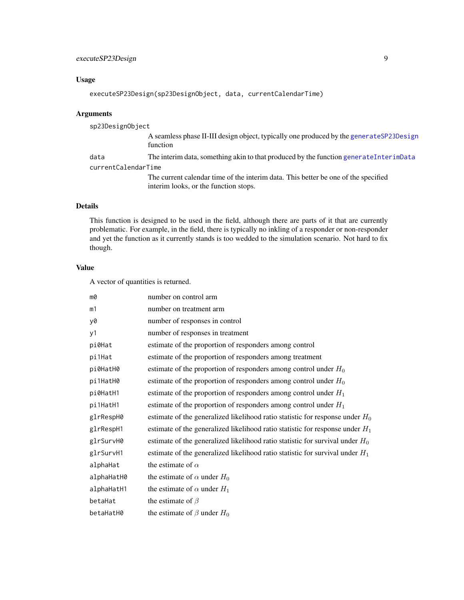## <span id="page-8-0"></span>Usage

```
executeSP23Design(sp23DesignObject, data, currentCalendarTime)
```
#### Arguments

sp23DesignObject A seamless phase II-III design object, typically one produced by the [generateSP23Design](#page-16-1) function data The interim data, something akin to that produced by the function [generateInterimData](#page-14-1) currentCalendarTime The current calendar time of the interim data. This better be one of the specified interim looks, or the function stops.

## Details

This function is designed to be used in the field, although there are parts of it that are currently problematic. For example, in the field, there is typically no inkling of a responder or non-responder and yet the function as it currently stands is too wedded to the simulation scenario. Not hard to fix though.

## Value

A vector of quantities is returned.

| m0         | number on control arm                                                           |
|------------|---------------------------------------------------------------------------------|
| m1         | number on treatment arm                                                         |
| y0         | number of responses in control                                                  |
| y1         | number of responses in treatment                                                |
| pi0Hat     | estimate of the proportion of responders among control                          |
| pi1Hat     | estimate of the proportion of responders among treatment                        |
| pi0HatH0   | estimate of the proportion of responders among control under $H_0$              |
| pi1HatH0   | estimate of the proportion of responders among control under $H_0$              |
| pi0HatH1   | estimate of the proportion of responders among control under $H_1$              |
| pi1HatH1   | estimate of the proportion of responders among control under $H_1$              |
| glrRespH0  | estimate of the generalized likelihood ratio statistic for response under $H_0$ |
| glrRespH1  | estimate of the generalized likelihood ratio statistic for response under $H_1$ |
| glrSurvH0  | estimate of the generalized likelihood ratio statistic for survival under $H_0$ |
| glrSurvH1  | estimate of the generalized likelihood ratio statistic for survival under $H_1$ |
| alphaHat   | the estimate of $\alpha$                                                        |
| alphaHatH0 | the estimate of $\alpha$ under $H_0$                                            |
| alphaHatH1 | the estimate of $\alpha$ under $H_1$                                            |
| betaHat    | the estimate of $\beta$                                                         |
| betaHatH0  | the estimate of $\beta$ under $H_0$                                             |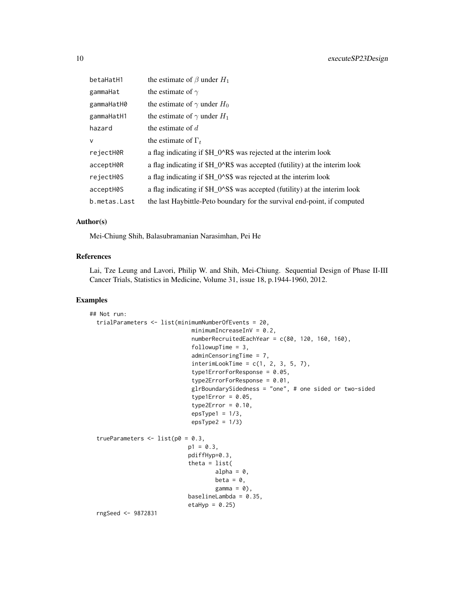| betaHatH1    | the estimate of $\beta$ under $H_1$                                        |
|--------------|----------------------------------------------------------------------------|
| gammaHat     | the estimate of $\gamma$                                                   |
| gammaHatH0   | the estimate of $\gamma$ under $H_0$                                       |
| gammaHatH1   | the estimate of $\gamma$ under $H_1$                                       |
| hazard       | the estimate of $d$                                                        |
| $\mathsf{V}$ | the estimate of $\Gamma_t$                                                 |
| rejectH0R    | a flag indicating if \$H_0^R\$ was rejected at the interim look            |
| acceptH0R    | a flag indicating if \$H_0^R\$ was accepted (futility) at the interim look |
| rejectH0S    | a flag indicating if \$H_0^S\$ was rejected at the interim look            |
| acceptH0S    | a flag indicating if \$H_0^S\$ was accepted (futility) at the interim look |
| b.metas.Last | the last Haybittle-Peto boundary for the survival end-point, if computed   |

#### Author(s)

Mei-Chiung Shih, Balasubramanian Narasimhan, Pei He

## References

Lai, Tze Leung and Lavori, Philip W. and Shih, Mei-Chiung. Sequential Design of Phase II-III Cancer Trials, Statistics in Medicine, Volume 31, issue 18, p.1944-1960, 2012.

## Examples

```
## Not run:
 trialParameters <- list(minimumNumberOfEvents = 20,
                              minimumIncreasingInV = 0.2,numberRecruitedEachYear = c(80, 120, 160, 160),
                              followupTime = 3,
                              adminCensoringTime = 7,
                              interimLookTime = c(1, 2, 3, 5, 7),type1ErrorForResponse = 0.05,
                              type2ErrorForResponse = 0.01,
                              glrBoundarySidedness = "one", # one sided or two-sided
                              type1Error = 0.05,
                              type2Error = 0.10,
                              epsType1 = 1/3,
                              epsType2 = 1/3)trueParameters \le list(p0 = 0.3,
                             p1 = 0.3,
                             pdiffHyp=0.3,
                             theta = list(alpha = 0,
                                     beta = \theta,
                                     gamma = 0,
                             baselineLambda = 0.35,
                             etaHyp = 0.25)
 rngSeed <- 9872831
```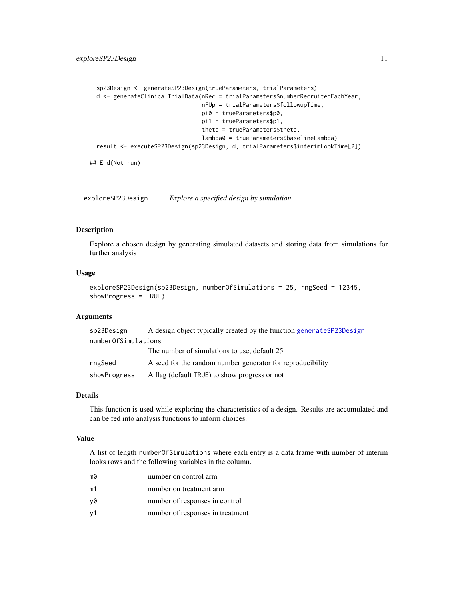```
sp23Design <- generateSP23Design(trueParameters, trialParameters)
d <- generateClinicalTrialData(nRec = trialParameters$numberRecruitedEachYear,
                               nFUp = trialParameters$followupTime,
                               pi0 = trueParameters$p0,
                               pi1 = trueParameters$p1,
                               theta = trueParameters$theta,
                               lambda0 = trueParameters$baselineLambda)
result <- executeSP23Design(sp23Design, d, trialParameters$interimLookTime[2])
```
## End(Not run)

<span id="page-10-1"></span>exploreSP23Design *Explore a specified design by simulation*

#### Description

Explore a chosen design by generating simulated datasets and storing data from simulations for further analysis

#### Usage

```
exploreSP23Design(sp23Design, numberOfSimulations = 25, rngSeed = 12345,
showProgress = TRUE)
```
## Arguments

| sp23Design          | A design object typically created by the function generate SP23Design |
|---------------------|-----------------------------------------------------------------------|
| numberOfSimulations |                                                                       |
|                     | The number of simulations to use, default 25                          |
| rngSeed             | A seed for the random number generator for reproducibility            |
| showProgress        | A flag (default TRUE) to show progress or not                         |

#### Details

This function is used while exploring the characteristics of a design. Results are accumulated and can be fed into analysis functions to inform choices.

## Value

A list of length numberOfSimulations where each entry is a data frame with number of interim looks rows and the following variables in the column.

| mØ             | number on control arm            |
|----------------|----------------------------------|
| m1             | number on treatment arm          |
| v0             | number of responses in control   |
| v <sub>1</sub> | number of responses in treatment |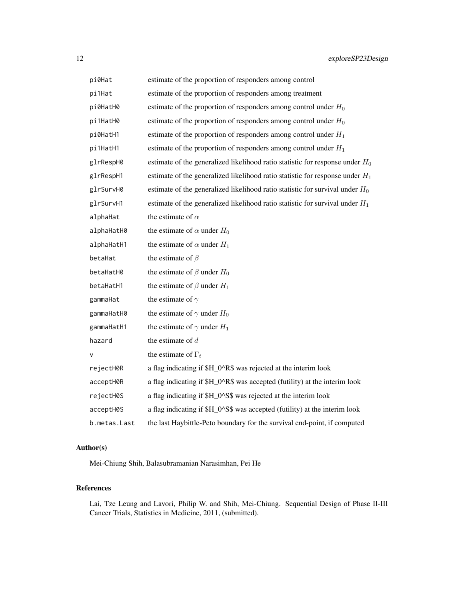| pi0Hat       | estimate of the proportion of responders among control                          |
|--------------|---------------------------------------------------------------------------------|
| pi1Hat       | estimate of the proportion of responders among treatment                        |
| pi0HatH0     | estimate of the proportion of responders among control under $H_0$              |
| pi1HatH0     | estimate of the proportion of responders among control under $H_0$              |
| pi0HatH1     | estimate of the proportion of responders among control under $H_1$              |
| pi1HatH1     | estimate of the proportion of responders among control under $H_1$              |
| glrRespH0    | estimate of the generalized likelihood ratio statistic for response under $H_0$ |
| glrRespH1    | estimate of the generalized likelihood ratio statistic for response under $H_1$ |
| glrSurvH0    | estimate of the generalized likelihood ratio statistic for survival under $H_0$ |
| glrSurvH1    | estimate of the generalized likelihood ratio statistic for survival under $H_1$ |
| alphaHat     | the estimate of $\alpha$                                                        |
| alphaHatH0   | the estimate of $\alpha$ under $H_0$                                            |
| alphaHatH1   | the estimate of $\alpha$ under $H_1$                                            |
| betaHat      | the estimate of $\beta$                                                         |
| betaHatH0    | the estimate of $\beta$ under $H_0$                                             |
| betaHatH1    | the estimate of $\beta$ under $H_1$                                             |
| gammaHat     | the estimate of $\gamma$                                                        |
| gammaHatH0   | the estimate of $\gamma$ under $H_0$                                            |
| gammaHatH1   | the estimate of $\gamma$ under $H_1$                                            |
| hazard       | the estimate of $d$                                                             |
| v            | the estimate of $\Gamma_t$                                                      |
| rejectH0R    | a flag indicating if \$H_0^R\$ was rejected at the interim look                 |
| acceptH0R    | a flag indicating if \$H_0^R\$ was accepted (futility) at the interim look      |
| rejectH0S    | a flag indicating if \$H_0^S\$ was rejected at the interim look                 |
| acceptH0S    | a flag indicating if \$H_0^S\$ was accepted (futility) at the interim look      |
| b.metas.Last | the last Haybittle-Peto boundary for the survival end-point, if computed        |

## Author(s)

Mei-Chiung Shih, Balasubramanian Narasimhan, Pei He

## References

Lai, Tze Leung and Lavori, Philip W. and Shih, Mei-Chiung. Sequential Design of Phase II-III Cancer Trials, Statistics in Medicine, 2011, (submitted).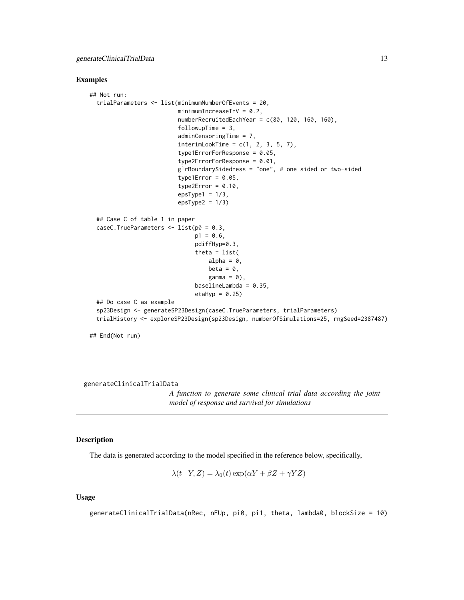#### <span id="page-12-0"></span>Examples

```
## Not run:
 trialParameters <- list(minimumNumberOfEvents = 20,
                          minimumIncreaseInV = 0.2,
                          numberRecruitedEachYear = c(80, 120, 160, 160),
                          followupTime = 3,
                          adminCensoringTime = 7,
                          interimLookTime = c(1, 2, 3, 5, 7),type1ErrorForResponse = 0.05,
                          type2ErrorForResponse = 0.01,
                          glrBoundarySidedness = "one", # one sided or two-sided
                          type1Error = 0.05,
                          type2Error = 0.10,
                          epsType1 = 1/3,
                          epsType2 = 1/3)## Case C of table 1 in paper
 caseC.TrueParameters \leq - list(p0 = 0.3,
                               p1 = 0.6,
                               pdiffHyp=0.3,
                               theta = list(
                                   alpha = 0,
                                   beta = \theta,
                                   gamma = 0,
                               baselineLambda = 0.35,
                               etaHyp = 0.25)
 ## Do case C as example
 sp23Design <- generateSP23Design(caseC.TrueParameters, trialParameters)
 trialHistory <- exploreSP23Design(sp23Design, numberOfSimulations=25, rngSeed=2387487)
```

```
## End(Not run)
```
generateClinicalTrialData

*A function to generate some clinical trial data according the joint model of response and survival for simulations*

## Description

The data is generated according to the model specified in the reference below, specifically,

$$
\lambda(t | Y, Z) = \lambda_0(t) \exp(\alpha Y + \beta Z + \gamma Y Z)
$$

#### Usage

generateClinicalTrialData(nRec, nFUp, pi0, pi1, theta, lambda0, blockSize = 10)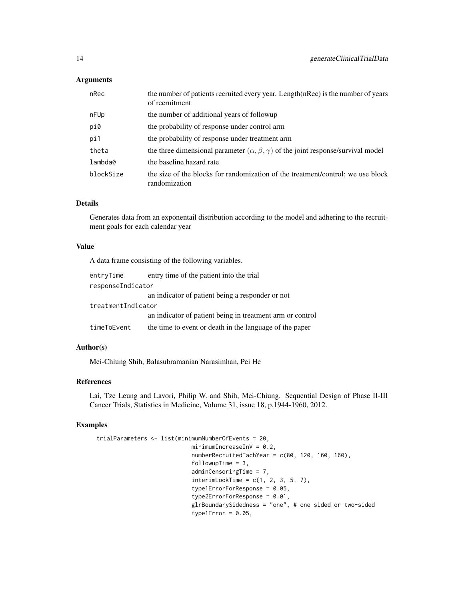## Arguments

| nRec      | the number of patients recruited every year. Length(nRec) is the number of years<br>of recruitment |
|-----------|----------------------------------------------------------------------------------------------------|
| nFUp      | the number of additional years of followup                                                         |
| pi0       | the probability of response under control arm                                                      |
| pi1       | the probability of response under treatment arm                                                    |
| theta     | the three dimensional parameter $(\alpha, \beta, \gamma)$ of the joint response/survival model     |
| lambda0   | the baseline hazard rate                                                                           |
| blockSize | the size of the blocks for randomization of the treatment/control; we use block<br>randomization   |

#### Details

Generates data from an exponentail distribution according to the model and adhering to the recruitment goals for each calendar year

## Value

A data frame consisting of the following variables.

| entryTime          | entry time of the patient into the trial                  |
|--------------------|-----------------------------------------------------------|
| responseIndicator  |                                                           |
|                    | an indicator of patient being a responder or not          |
| treatmentIndicator |                                                           |
|                    | an indicator of patient being in treatment arm or control |
| timeToEvent        | the time to event or death in the language of the paper   |

#### Author(s)

Mei-Chiung Shih, Balasubramanian Narasimhan, Pei He

#### References

Lai, Tze Leung and Lavori, Philip W. and Shih, Mei-Chiung. Sequential Design of Phase II-III Cancer Trials, Statistics in Medicine, Volume 31, issue 18, p.1944-1960, 2012.

## Examples

```
trialParameters <- list(minimumNumberOfEvents = 20,
                            minimumIncreasingInV = 0.2,numberRecruitedEachYear = c(80, 120, 160, 160),
                            followupTime = 3,
                            adminCensoringTime = 7,
                            interimLookTime = c(1, 2, 3, 5, 7),type1ErrorForResponse = 0.05,
                            type2ErrorForResponse = 0.01,
                            glrBoundarySidedness = "one", # one sided or two-sided
                            type1Error = 0.05,
```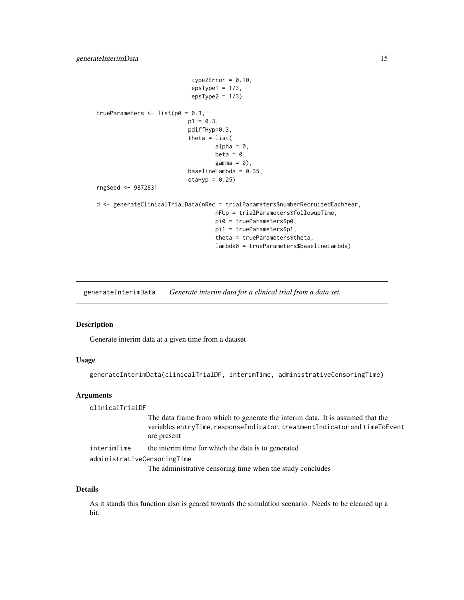```
type2Error = 0.10,
                             epsType1 = 1/3,
                             epsType2 = 1/3)trueParameters \le list(p0 = 0.3,
                           p1 = 0.3,
                            pdiffHyp=0.3,
                            theta = list(
                                    alpha = 0,
                                    beta = \theta,
                                    gamma = 0,
                            baselineLambda = 0.35,
                            etaHyp = 0.25)
rngSeed <- 9872831
d <- generateClinicalTrialData(nRec = trialParameters$numberRecruitedEachYear,
                                    nFUp = trialParameters$followupTime,
                                    pi0 = trueParameters$p0,
                                    pi1 = trueParameters$p1,
                                    theta = trueParameters$theta,
                                    lambda0 = trueParameters$baselineLambda)
```
<span id="page-14-1"></span>generateInterimData *Generate interim data for a clinical trial from a data set.*

## Description

Generate interim data at a given time from a dataset

## Usage

generateInterimData(clinicalTrialDF, interimTime, administrativeCensoringTime)

#### Arguments

clinicalTrialDF The data frame from which to generate the interim data. It is assumed that the variables entryTime, responseIndicator, treatmentIndicator and timeToEvent are present interimTime the interim time for which the data is to generated administrativeCensoringTime The administrative censoring time when the study concludes

#### Details

As it stands this function also is geared towards the simulation scenario. Needs to be cleaned up a bit.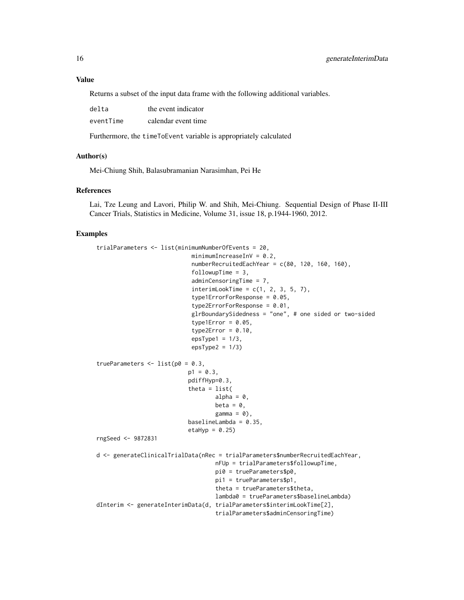#### Value

Returns a subset of the input data frame with the following additional variables.

| delta     | the event indicator |
|-----------|---------------------|
| eventTime | calendar event time |

Furthermore, the timeToEvent variable is appropriately calculated

#### Author(s)

Mei-Chiung Shih, Balasubramanian Narasimhan, Pei He

#### References

Lai, Tze Leung and Lavori, Philip W. and Shih, Mei-Chiung. Sequential Design of Phase II-III Cancer Trials, Statistics in Medicine, Volume 31, issue 18, p.1944-1960, 2012.

#### Examples

```
trialParameters <- list(minimumNumberOfEvents = 20,
                            minimumIncreasingInV = 0.2,
                            numberRecruitedEachYear = c(80, 120, 160, 160),
                            followupTime = 3,
                            adminCensoringTime = 7,
                            interimLookTime = c(1, 2, 3, 5, 7),type1ErrorForResponse = 0.05,
                            type2ErrorForResponse = 0.01,
                            glrBoundarySidedness = "one", # one sided or two-sided
                            type1Error = 0.05.
                            type2Error = 0.10,
                            epsType1 = 1/3,
                            epsType2 = 1/3trueParameters \leq - list(p0 = 0.3,
                           p1 = 0.3,
                           pdiffHyp=0.3,
                           theta = list(alpha = 0,
                                   beta = 0,
                                   gamma = 0,
                           baselineLambda = 0.35,
                           etaHyp = 0.25)
rngSeed <- 9872831
d <- generateClinicalTrialData(nRec = trialParameters$numberRecruitedEachYear,
                                   nFUp = trialParameters$followupTime,
                                   pi0 = trueParameters$p0,
                                   pi1 = trueParameters$p1,
                                   theta = trueParameters$theta,
                                   lambda0 = trueParameters$baselineLambda)
dInterim <- generateInterimData(d, trialParameters$interimLookTime[2],
                                   trialParameters$adminCensoringTime)
```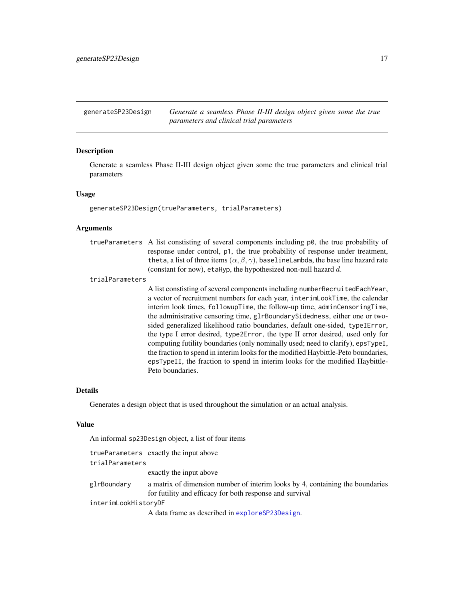<span id="page-16-1"></span><span id="page-16-0"></span>generateSP23Design *Generate a seamless Phase II-III design object given some the true parameters and clinical trial parameters*

## **Description**

Generate a seamless Phase II-III design object given some the true parameters and clinical trial parameters

#### Usage

generateSP23Design(trueParameters, trialParameters)

#### Arguments

trueParameters A list constisting of several components including p0, the true probability of response under control, p1, the true probability of response under treatment, theta, a list of three items  $(\alpha, \beta, \gamma)$ , baselineLambda, the base line hazard rate (constant for now), etaHyp, the hypothesized non-null hazard  $d$ .

#### trialParameters

A list constisting of several components including numberRecruitedEachYear, a vector of recruitment numbers for each year, interimLookTime, the calendar interim look times, followupTime, the follow-up time, adminCensoringTime, the administrative censoring time, glrBoundarySidedness, either one or twosided generalized likelihood ratio boundaries, default one-sided, typeIError, the type I error desired, type2Error, the type II error desired, used only for computing futility boundaries (only nominally used; need to clarify), epsTypeI, the fraction to spend in interim looks for the modified Haybittle-Peto boundaries, epsTypeII, the fraction to spend in interim looks for the modified Haybittle-Peto boundaries.

#### Details

Generates a design object that is used throughout the simulation or an actual analysis.

## Value

An informal sp23Design object, a list of four items

|                      | trueParameters exactly the input above                                                                                                    |
|----------------------|-------------------------------------------------------------------------------------------------------------------------------------------|
| trialParameters      |                                                                                                                                           |
|                      | exactly the input above                                                                                                                   |
| glrBoundary          | a matrix of dimension number of interim looks by 4, containing the boundaries<br>for futility and efficacy for both response and survival |
| interimLookHistoryDF |                                                                                                                                           |
|                      | A data frame as described in exploreSP23Design.                                                                                           |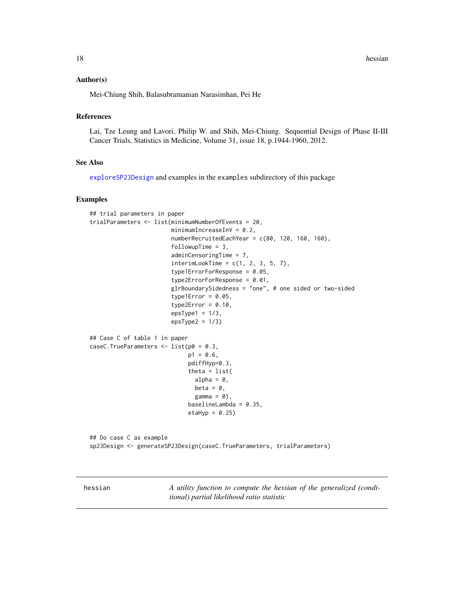<span id="page-17-0"></span>18 hessian between the contract of the state of the state of the state of the state of the state of the state of the state of the state of the state of the state of the state of the state of the state of the state of the s

#### Author(s)

Mei-Chiung Shih, Balasubramanian Narasimhan, Pei He

## References

Lai, Tze Leung and Lavori, Philip W. and Shih, Mei-Chiung. Sequential Design of Phase II-III Cancer Trials, Statistics in Medicine, Volume 31, issue 18, p.1944-1960, 2012.

## See Also

[exploreSP23Design](#page-10-1) and examples in the examples subdirectory of this package

## Examples

```
## trial parameters in paper
trialParameters <- list(minimumNumberOfEvents = 20,
                        minimumIncreasingInV = 0.2,
                        numberRecruitedEachYear = c(80, 120, 160, 160),
                        followupTime = 3,
                        adminCensoringTime = 7,
                        interimLookTime = c(1, 2, 3, 5, 7),type1ErrorForResponse = 0.05,
                        type2ErrorForResponse = 0.01,
                        glrBoundarySidedness = "one", # one sided or two-sided
                        type1Error = 0.05,
                        type2Error = 0.10,
                        epsType1 = 1/3,
                        epsType2 = 1/3)## Case C of table 1 in paper
caseC.TrueParameters <- list(p0 = 0.3,
                             p1 = 0.6,
                             pdiffHyp=0.3,
                             theta = list(
                               alpha = 0,
                               beta = \theta,
                               gamma = 0,
                             baselineLambda = 0.35,
                             etaHyp = 0.25)
## Do case C as example
sp23Design <- generateSP23Design(caseC.TrueParameters, trialParameters)
```
hessian *A utility function to compute the hessian of the generalized (conditional) partial likelihood ratio statistic*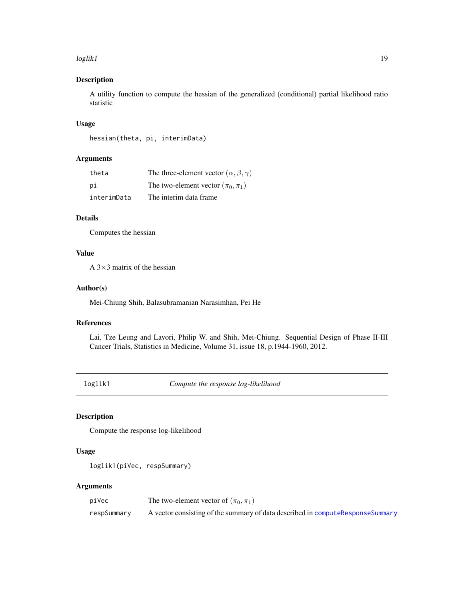#### <span id="page-18-0"></span>loglik1 to the control of the control of the control of the control of the control of the control of the control of the control of the control of the control of the control of the control of the control of the control of t

## Description

A utility function to compute the hessian of the generalized (conditional) partial likelihood ratio statistic

## Usage

```
hessian(theta, pi, interimData)
```
## Arguments

| theta       | The three-element vector $(\alpha, \beta, \gamma)$ |
|-------------|----------------------------------------------------|
| рi          | The two-element vector $(\pi_0, \pi_1)$            |
| interimData | The interim data frame                             |

## Details

Computes the hessian

## Value

A  $3\times3$  matrix of the hessian

## Author(s)

Mei-Chiung Shih, Balasubramanian Narasimhan, Pei He

## References

Lai, Tze Leung and Lavori, Philip W. and Shih, Mei-Chiung. Sequential Design of Phase II-III Cancer Trials, Statistics in Medicine, Volume 31, issue 18, p.1944-1960, 2012.

loglik1 *Compute the response log-likelihood*

## Description

Compute the response log-likelihood

#### Usage

```
loglik1(piVec, respSummary)
```
## Arguments

| piVec       | The two-element vector of $(\pi_0, \pi_1)$                                       |
|-------------|----------------------------------------------------------------------------------|
| respSummary | A vector consisting of the summary of data described in compute Response Summary |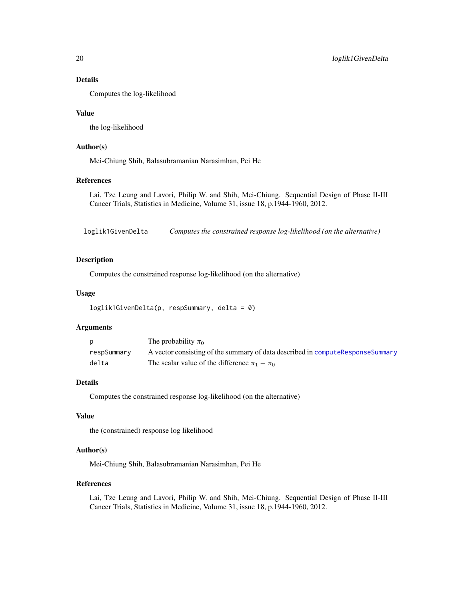## <span id="page-19-0"></span>Details

Computes the log-likelihood

## Value

the log-likelihood

## Author(s)

Mei-Chiung Shih, Balasubramanian Narasimhan, Pei He

## References

Lai, Tze Leung and Lavori, Philip W. and Shih, Mei-Chiung. Sequential Design of Phase II-III Cancer Trials, Statistics in Medicine, Volume 31, issue 18, p.1944-1960, 2012.

loglik1GivenDelta *Computes the constrained response log-likelihood (on the alternative)*

#### Description

Computes the constrained response log-likelihood (on the alternative)

#### Usage

```
loglik1GivenDelta(p, respSummary, delta = 0)
```
## Arguments

|             | The probability $\pi_0$                                                          |
|-------------|----------------------------------------------------------------------------------|
| respSummary | A vector consisting of the summary of data described in compute Response Summary |
| delta       | The scalar value of the difference $\pi_1 - \pi_0$                               |

## Details

Computes the constrained response log-likelihood (on the alternative)

## Value

the (constrained) response log likelihood

#### Author(s)

Mei-Chiung Shih, Balasubramanian Narasimhan, Pei He

## References

Lai, Tze Leung and Lavori, Philip W. and Shih, Mei-Chiung. Sequential Design of Phase II-III Cancer Trials, Statistics in Medicine, Volume 31, issue 18, p.1944-1960, 2012.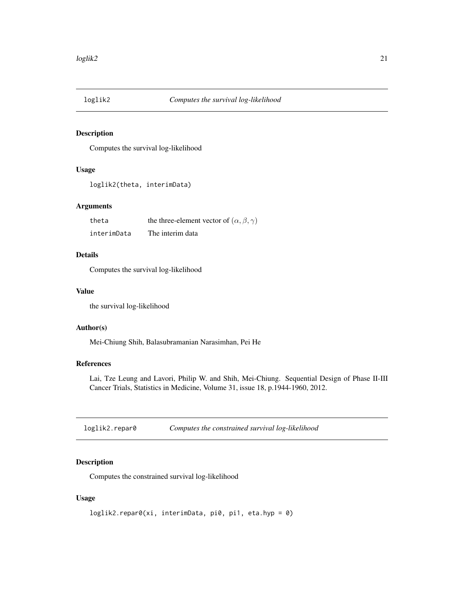<span id="page-20-0"></span>

## Description

Computes the survival log-likelihood

#### Usage

```
loglik2(theta, interimData)
```
## Arguments

| theta       | the three-element vector of $(\alpha, \beta, \gamma)$ |
|-------------|-------------------------------------------------------|
| interimData | The interim data                                      |

## Details

Computes the survival log-likelihood

## Value

the survival log-likelihood

#### Author(s)

Mei-Chiung Shih, Balasubramanian Narasimhan, Pei He

## References

Lai, Tze Leung and Lavori, Philip W. and Shih, Mei-Chiung. Sequential Design of Phase II-III Cancer Trials, Statistics in Medicine, Volume 31, issue 18, p.1944-1960, 2012.

loglik2.repar0 *Computes the constrained survival log-likelihood*

## Description

Computes the constrained survival log-likelihood

## Usage

```
loglik2.repar0(xi, interimData, pi0, pi1, eta.hyp = 0)
```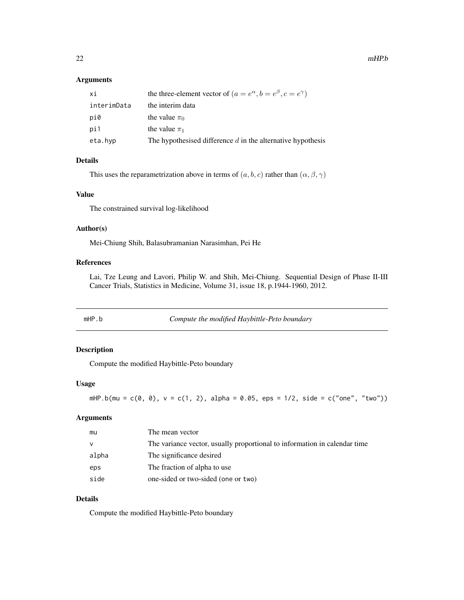## <span id="page-21-0"></span>Arguments

| хi          | the three-element vector of $(a = e^{\alpha}, b = e^{\beta}, c = e^{\gamma})$ |
|-------------|-------------------------------------------------------------------------------|
| interimData | the interim data                                                              |
| pi0         | the value $\pi_0$                                                             |
| pi1         | the value $\pi_1$                                                             |
| eta.hvp     | The hypothesised difference $d$ in the alternative hypothesis                 |
|             |                                                                               |

## Details

This uses the reparametrization above in terms of  $(a, b, c)$  rather than  $(\alpha, \beta, \gamma)$ 

## Value

The constrained survival log-likelihood

## Author(s)

Mei-Chiung Shih, Balasubramanian Narasimhan, Pei He

## References

Lai, Tze Leung and Lavori, Philip W. and Shih, Mei-Chiung. Sequential Design of Phase II-III Cancer Trials, Statistics in Medicine, Volume 31, issue 18, p.1944-1960, 2012.

<span id="page-21-1"></span>mHP.b *Compute the modified Haybittle-Peto boundary*

## Description

Compute the modified Haybittle-Peto boundary

#### Usage

```
mHP.b(mu = c(0, 0), v = c(1, 2), alpha = 0.05, eps = 1/2, side = c("one", "two"))
```
## Arguments

| mu       | The mean vector                                                           |
|----------|---------------------------------------------------------------------------|
| <b>V</b> | The variance vector, usually proportional to information in calendar time |
| alpha    | The significance desired                                                  |
| eps      | The fraction of alpha to use                                              |
| side     | one-sided or two-sided (one or two)                                       |

## Details

Compute the modified Haybittle-Peto boundary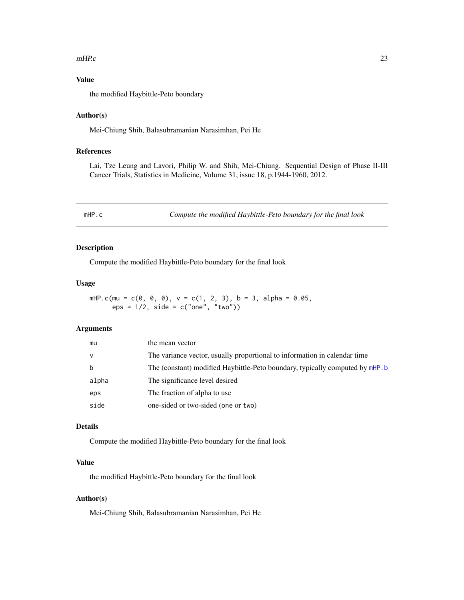#### <span id="page-22-0"></span>mHP.c  $\sim$  23

## Value

the modified Haybittle-Peto boundary

## Author(s)

Mei-Chiung Shih, Balasubramanian Narasimhan, Pei He

#### References

Lai, Tze Leung and Lavori, Philip W. and Shih, Mei-Chiung. Sequential Design of Phase II-III Cancer Trials, Statistics in Medicine, Volume 31, issue 18, p.1944-1960, 2012.

mHP.c *Compute the modified Haybittle-Peto boundary for the final look*

## Description

Compute the modified Haybittle-Peto boundary for the final look

#### Usage

```
mHP.c(mu = c(0, 0, 0), v = c(1, 2, 3), b = 3, alpha = 0.05,
     eps = 1/2, side = c("one", "two")
```
#### Arguments

| mu     | the mean vector                                                               |
|--------|-------------------------------------------------------------------------------|
| $\vee$ | The variance vector, usually proportional to information in calendar time     |
| b      | The (constant) modified Haybittle-Peto boundary, typically computed by mHP. b |
| alpha  | The significance level desired                                                |
| eps    | The fraction of alpha to use                                                  |
| side   | one-sided or two-sided (one or two)                                           |

## Details

Compute the modified Haybittle-Peto boundary for the final look

## Value

the modified Haybittle-Peto boundary for the final look

## Author(s)

Mei-Chiung Shih, Balasubramanian Narasimhan, Pei He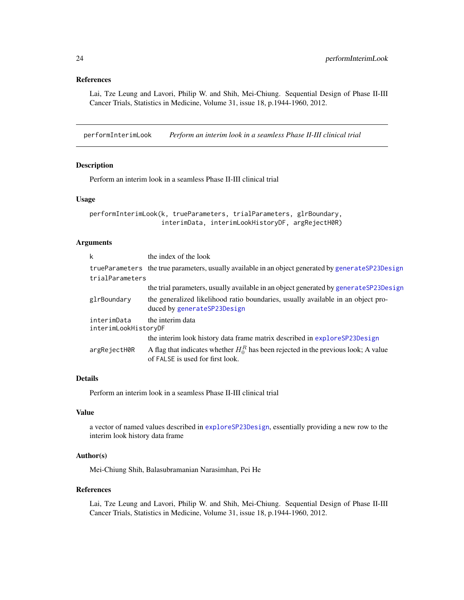#### <span id="page-23-0"></span>References

Lai, Tze Leung and Lavori, Philip W. and Shih, Mei-Chiung. Sequential Design of Phase II-III Cancer Trials, Statistics in Medicine, Volume 31, issue 18, p.1944-1960, 2012.

performInterimLook *Perform an interim look in a seamless Phase II-III clinical trial*

## Description

Perform an interim look in a seamless Phase II-III clinical trial

## Usage

```
performInterimLook(k, trueParameters, trialParameters, glrBoundary,
                   interimData, interimLookHistoryDF, argRejectH0R)
```
## Arguments

| the index of the look                                                                                                     |
|---------------------------------------------------------------------------------------------------------------------------|
| trueParameters the true parameters, usually available in an object generated by generateSP23Design                        |
| trialParameters                                                                                                           |
| the trial parameters, usually available in an object generated by generate SP23Design                                     |
| the generalized likelihood ratio boundaries, usually available in an object pro-<br>duced by generateSP23Design           |
| the interim data                                                                                                          |
| interimLookHistoryDF                                                                                                      |
| the interim look history data frame matrix described in explore SP23Design                                                |
| A flag that indicates whether $H_0^R$ has been rejected in the previous look; A value<br>of FALSE is used for first look. |
|                                                                                                                           |

## Details

Perform an interim look in a seamless Phase II-III clinical trial

## Value

a vector of named values described in [exploreSP23Design](#page-10-1), essentially providing a new row to the interim look history data frame

#### Author(s)

Mei-Chiung Shih, Balasubramanian Narasimhan, Pei He

#### References

Lai, Tze Leung and Lavori, Philip W. and Shih, Mei-Chiung. Sequential Design of Phase II-III Cancer Trials, Statistics in Medicine, Volume 31, issue 18, p.1944-1960, 2012.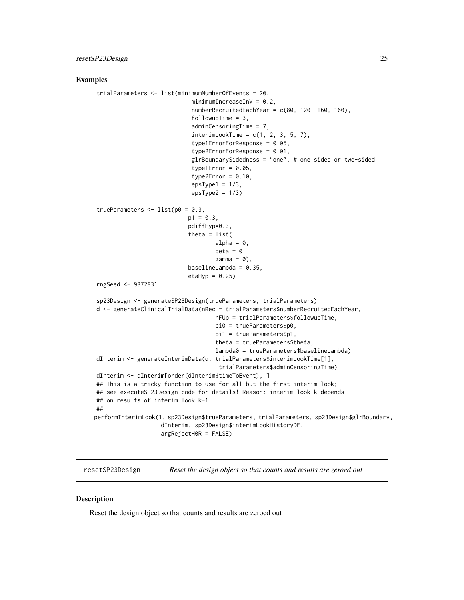#### <span id="page-24-0"></span>Examples

```
trialParameters <- list(minimumNumberOfEvents = 20,
                            minimumIncreasingInV = 0.2,
                             numberRecruitedEachYear = c(80, 120, 160, 160),
                             followupTime = 3,
                             adminCensoringTime = 7,
                             interimLookTime = c(1, 2, 3, 5, 7),type1ErrorForResponse = 0.05,
                             type2ErrorForResponse = 0.01,
                             glrBoundarySidedness = "one", # one sided or two-sided
                             type1Error = 0.05,
                             type2Error = 0.10,
                             epsType1 = 1/3,
                             epsType2 = 1/3trueParameters \le list(p0 = 0.3,
                           p1 = 0.3,
                           pdiffHyp=0.3,
                           theta = list(alpha = 0,
                                    beta = \theta,
                                    gamma = 0,
                           baselineLambda = 0.35,
                           etaHyp = 0.25)
rngSeed <- 9872831
sp23Design <- generateSP23Design(trueParameters, trialParameters)
d <- generateClinicalTrialData(nRec = trialParameters$numberRecruitedEachYear,
                                    nFUp = trialParameters$followupTime,
                                    pi0 = trueParameters$p0,
                                    pi1 = trueParameters$p1,
                                    theta = trueParameters$theta,
                                    lambda0 = trueParameters$baselineLambda)
dInterim <- generateInterimData(d, trialParameters$interimLookTime[1],
                                     trialParameters$adminCensoringTime)
dInterim <- dInterim[order(dInterim$timeToEvent), ]
## This is a tricky function to use for all but the first interim look;
## see executeSP23Design code for details! Reason: interim look k depends
## on results of interim look k-1
##
performInterimLook(1, sp23Design$trueParameters, trialParameters, sp23Design$glrBoundary,
                   dInterim, sp23Design$interimLookHistoryDF,
                   argRejectH0R = FALSE)
```
resetSP23Design *Reset the design object so that counts and results are zeroed out*

#### Description

Reset the design object so that counts and results are zeroed out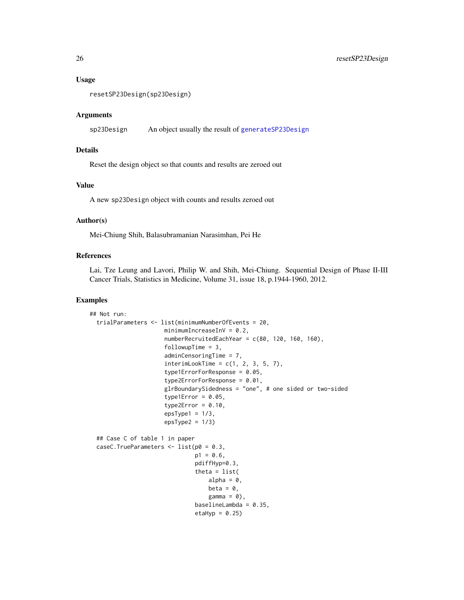#### Usage

```
resetSP23Design(sp23Design)
```
#### Arguments

```
sp23Design An object usually the result of generateSP23Design
```
## Details

Reset the design object so that counts and results are zeroed out

## Value

A new sp23Design object with counts and results zeroed out

## Author(s)

Mei-Chiung Shih, Balasubramanian Narasimhan, Pei He

#### References

Lai, Tze Leung and Lavori, Philip W. and Shih, Mei-Chiung. Sequential Design of Phase II-III Cancer Trials, Statistics in Medicine, Volume 31, issue 18, p.1944-1960, 2012.

## Examples

```
## Not run:
 trialParameters <- list(minimumNumberOfEvents = 20,
                      minimumIncreasingInV = 0.2,
                      numberRecruitedEachYear = c(80, 120, 160, 160),
                      followupTime = 3,
                      adminCensoringTime = 7,
                      interimLookTime = c(1, 2, 3, 5, 7),type1ErrorForResponse = 0.05,
                      type2ErrorForResponse = 0.01,
                      glrBoundarySidedness = "one", # one sided or two-sided
                      type1Error = 0.05,
                      type2Error = 0.10,
                      epsType1 = 1/3,
                      epsType2 = 1/3)## Case C of table 1 in paper
 caseC.TrueParameters <- list(p0 = 0.3,
                               p1 = 0.6,
                               pdiffHyp=0.3,
                               theta = list(alpha = 0,
                                   beta = \theta,
                                    gamma = 0,
                               baselineLambda = 0.35,
                               etaHyp = 0.25)
```
<span id="page-25-0"></span>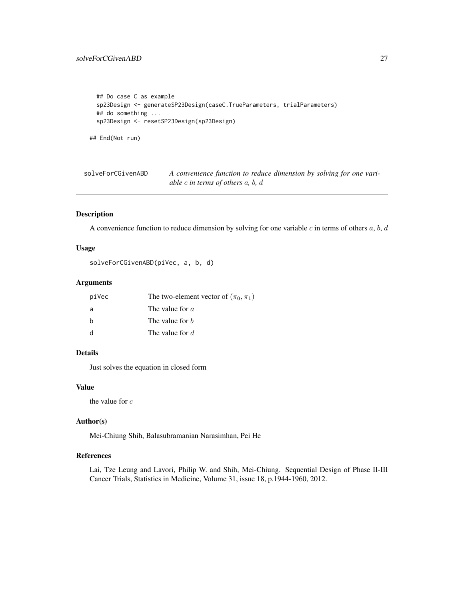## <span id="page-26-0"></span>solveForCGivenABD 27

```
## Do case C as example
sp23Design <- generateSP23Design(caseC.TrueParameters, trialParameters)
## do something ...
sp23Design <- resetSP23Design(sp23Design)
```
## End(Not run)

solveForCGivenABD *A convenience function to reduce dimension by solving for one variable* c *in terms of others* a*,* b*,* d

## Description

A convenience function to reduce dimension by solving for one variable  $c$  in terms of others  $a, b, d$ 

## Usage

```
solveForCGivenABD(piVec, a, b, d)
```
## Arguments

| piVec | The two-element vector of $(\pi_0, \pi_1)$ |
|-------|--------------------------------------------|
| a     | The value for $a$                          |
| h     | The value for b                            |
| -d    | The value for d                            |

## Details

Just solves the equation in closed form

## Value

the value for c

## Author(s)

Mei-Chiung Shih, Balasubramanian Narasimhan, Pei He

#### References

Lai, Tze Leung and Lavori, Philip W. and Shih, Mei-Chiung. Sequential Design of Phase II-III Cancer Trials, Statistics in Medicine, Volume 31, issue 18, p.1944-1960, 2012.